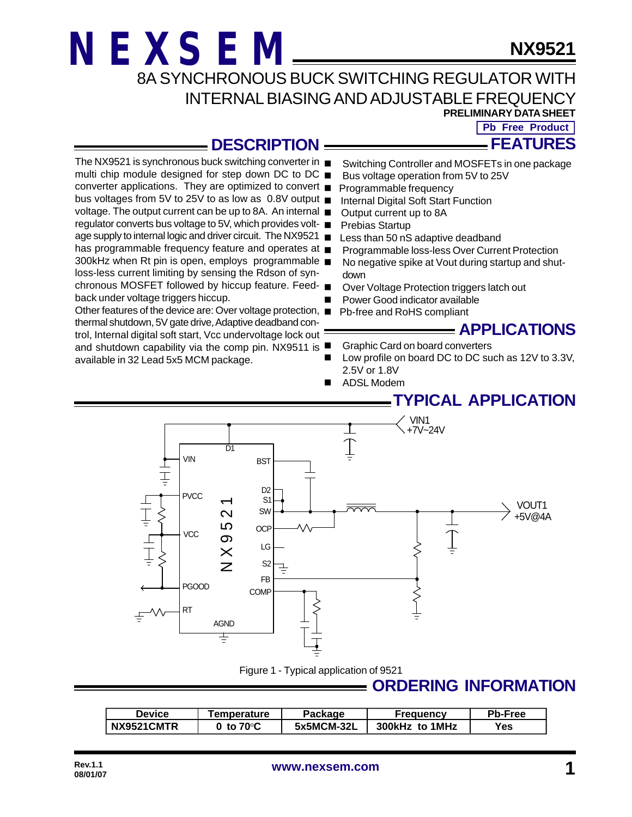loss-less current limiting by sensing the Rdson of syn-

thermal shutdown, 5V gate drive, Adaptive deadband control, Internal digital soft start, Vcc undervoltage lock out

back under voltage triggers hiccup.

available in 32 Lead 5x5 MCM package.

**NX9521**

8A SYNCHRONOUS BUCK SWITCHING REGULATOR WITH INTERNAL BIASING AND ADJUSTABLE FREQUENCY

**PRELIMINARY DATA SHEET**

**FEATURES Pb Free Product** 

**DESCRIPTION**

- The NX9521 is synchronous buck switching converter in Switching Controller and MOSFETs in one package
- multi chip module designed for step down DC to DC  $\blacksquare$ Bus voltage operation from 5V to 25V
- converter applications. They are optimized to convert  $\blacksquare$ Programmable frequency
- bus voltages from 5V to 25V to as low as 0.8V output Internal Digital Soft Start Function
- voltage. The output current can be up to 8A. An internal Output current up to 8A
- regulator converts bus voltage to 5V, which provides volt-Prebias Startup
- age supply to internal logic and driver circuit. The NX9521 Less than 50 nS adaptive deadband
- has programmable frequency feature and operates at  $\blacksquare$ Programmable loss-less Over Current Protection
- 300kHz when Rt pin is open, employs programmable No negative spike at Vout during startup and shutdown
- chronous MOSFET followed by hiccup feature. Feed-Over Voltage Protection triggers latch out
	- Power Good indicator available
- Other features of the device are: Over voltage protection, Pb-free and RoHS compliant

#### **APPLICATIONS**

- **Graphic Card on board converters**
- and shutdown capability via the comp pin. NX9511 is Low profile on board DC to DC such as 12V to 3.3V, 2.5V or 1.8V
	- ADSL Modem

### **TYPICAL APPLICATION**



Figure 1 - Typical application of 9521

## **ORDERING INFORMATION**

| Device     | ⊺emperature                   | Package    | Freauencv      | Pb-Free |
|------------|-------------------------------|------------|----------------|---------|
| NX9521CMTR | $0\,$ to 70 $^{\rm o}{\rm C}$ | 5x5MCM-32L | 300kHz to 1MHz | Yes     |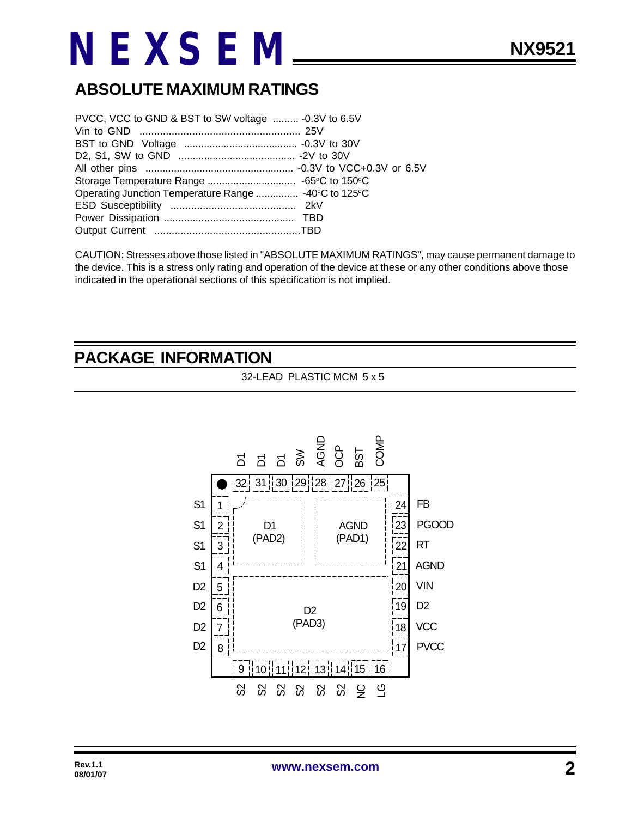## **ABSOLUTE MAXIMUM RATINGS**

| PVCC, VCC to GND & BST to SW voltage  -0.3V to 6.5V  |  |
|------------------------------------------------------|--|
|                                                      |  |
|                                                      |  |
|                                                      |  |
|                                                      |  |
|                                                      |  |
| Operating Junction Temperature Range  -40°C to 125°C |  |
|                                                      |  |
|                                                      |  |
|                                                      |  |

CAUTION: Stresses above those listed in "ABSOLUTE MAXIMUM RATINGS", may cause permanent damage to the device. This is a stress only rating and operation of the device at these or any other conditions above those indicated in the operational sections of this specification is not implied.

### **PACKAGE INFORMATION**

32-LEAD PLASTIC MCM 5 x 5

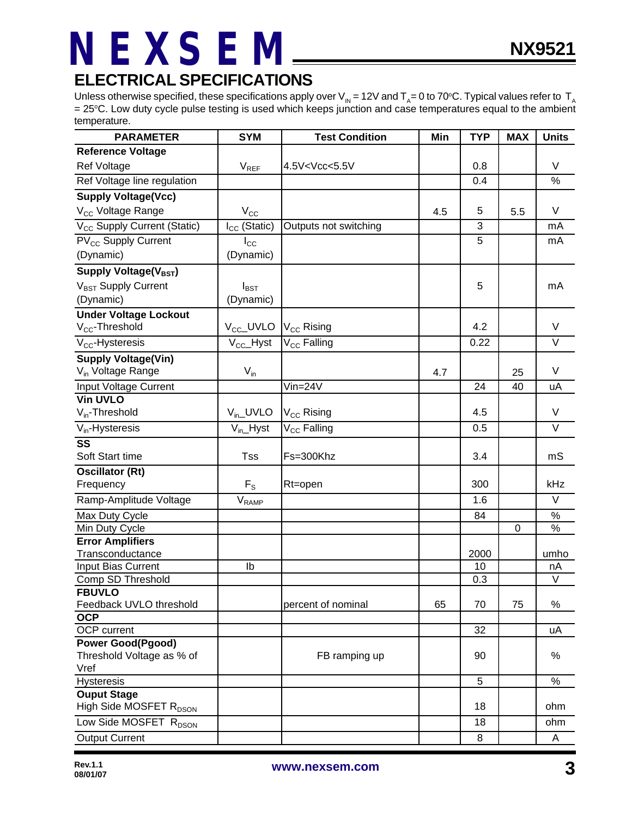### **ELECTRICAL SPECIFICATIONS**

Unless otherwise specified, these specifications apply over V<sub>IN</sub> = 12V and T<sub>A</sub>= 0 to 70°C. Typical values refer to T<sub>A</sub> = 25°C. Low duty cycle pulse testing is used which keeps junction and case temperatures equal to the ambient temperature.

| <b>PARAMETER</b>                            | <b>SYM</b>                   | <b>Test Condition</b>                                                      | Min | <b>TYP</b> | <b>MAX</b>  | <b>Units</b>      |
|---------------------------------------------|------------------------------|----------------------------------------------------------------------------|-----|------------|-------------|-------------------|
| <b>Reference Voltage</b>                    |                              |                                                                            |     |            |             |                   |
| Ref Voltage                                 | $V_{REF}$                    | 4.5V <vcc<5.5v< td=""><td></td><td>0.8</td><td></td><td>V</td></vcc<5.5v<> |     | 0.8        |             | V                 |
| Ref Voltage line regulation                 |                              |                                                                            |     | 0.4        |             | $\%$              |
| <b>Supply Voltage(Vcc)</b>                  |                              |                                                                            |     |            |             |                   |
| V <sub>CC</sub> Voltage Range               | $V_{\rm CC}$                 |                                                                            | 4.5 | 5          | 5.5         | V                 |
| V <sub>CC</sub> Supply Current (Static)     | $I_{CC}$ (Static)            | Outputs not switching                                                      |     | 3          |             | mA                |
| PV <sub>CC</sub> Supply Current             | $I_{\rm CC}$                 |                                                                            |     | 5          |             | mA                |
| (Dynamic)                                   | (Dynamic)                    |                                                                            |     |            |             |                   |
| Supply Voltage(V <sub>BST</sub> )           |                              |                                                                            |     |            |             |                   |
| V <sub>BST</sub> Supply Current             | $I_{\text{BST}}$             |                                                                            |     | 5          |             | mA                |
| (Dynamic)                                   | (Dynamic)                    |                                                                            |     |            |             |                   |
| <b>Under Voltage Lockout</b>                |                              |                                                                            |     |            |             |                   |
| V <sub>cc</sub> -Threshold                  | $V_{\text{CC}}$ _UVLO        | V <sub>CC</sub> Rising                                                     |     | 4.2        |             | V                 |
| $V_{CC}$ -Hysteresis                        | $V_{CC}$ Hyst                | V <sub>CC</sub> Falling                                                    |     | 0.22       |             | $\overline{\vee}$ |
| <b>Supply Voltage(Vin)</b>                  |                              |                                                                            |     |            |             |                   |
| V <sub>in</sub> Voltage Range               | $V_{in}$                     |                                                                            | 4.7 |            | 25          | V                 |
| Input Voltage Current                       |                              | $V$ in=24 $V$                                                              |     | 24         | 40          | uA                |
| <b>Vin UVLO</b>                             |                              |                                                                            |     |            |             |                   |
| $V_{in}$ -Threshold                         | $V_{in}$ UVLO                | V <sub>CC</sub> Rising                                                     |     | 4.5        |             | $\vee$            |
| $V_{in}$ -Hysteresis                        | $V_{in}$ Hyst                | V <sub>CC</sub> Falling                                                    |     | 0.5        |             | $\vee$            |
| $\overline{\text{ss}}$                      |                              |                                                                            |     |            |             |                   |
| Soft Start time                             | <b>Tss</b>                   | Fs=300Khz                                                                  |     | 3.4        |             | mS                |
| <b>Oscillator (Rt)</b>                      |                              |                                                                            |     |            |             |                   |
| Frequency                                   | $F_S$                        | Rt=open                                                                    |     | 300        |             | kHz               |
| Ramp-Amplitude Voltage                      | $\mathsf{V}_{\mathsf{RAMP}}$ |                                                                            |     | 1.6        |             | V                 |
| Max Duty Cycle                              |                              |                                                                            |     | 84         |             | $\frac{8}{6}$     |
| Min Duty Cycle                              |                              |                                                                            |     |            | $\mathbf 0$ | %                 |
| <b>Error Amplifiers</b><br>Transconductance |                              |                                                                            |     | 2000       |             | umho              |
| <b>Input Bias Current</b>                   | Ib                           |                                                                            |     | 10         |             | nA                |
| Comp SD Threshold                           |                              |                                                                            |     | 0.3        |             | $\vee$            |
| <b>FBUVLO</b>                               |                              |                                                                            |     |            |             |                   |
| Feedback UVLO threshold                     |                              | percent of nominal                                                         | 65  | 70         | 75          | $\%$              |
| <b>OCP</b>                                  |                              |                                                                            |     |            |             |                   |
| OCP current                                 |                              |                                                                            |     | 32         |             | uA                |
| <b>Power Good(Pgood)</b>                    |                              |                                                                            |     |            |             |                   |
| Threshold Voltage as % of<br>Vref           |                              | FB ramping up                                                              |     | 90         |             | %                 |
| Hysteresis                                  |                              |                                                                            |     | 5          |             | $\%$              |
| <b>Ouput Stage</b>                          |                              |                                                                            |     |            |             |                   |
| High Side MOSFET R <sub>DSON</sub>          |                              |                                                                            |     | 18         |             | ohm               |
| Low Side MOSFET R <sub>DSON</sub>           |                              |                                                                            |     | 18         |             | ohm               |
| <b>Output Current</b>                       |                              |                                                                            |     | 8          |             | A                 |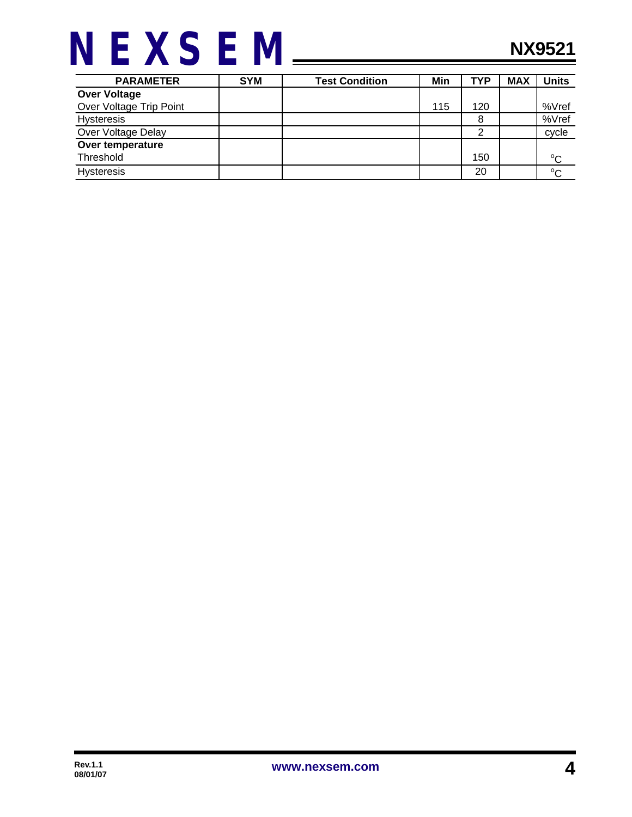

| <b>PARAMETER</b>        | <b>SYM</b> | <b>Test Condition</b> | Min | <b>TYP</b> | <b>MAX</b> | Units       |
|-------------------------|------------|-----------------------|-----|------------|------------|-------------|
| <b>Over Voltage</b>     |            |                       |     |            |            |             |
| Over Voltage Trip Point |            |                       | 115 | 120        |            | %Vref       |
| <b>Hysteresis</b>       |            |                       |     | 8          |            | %Vref       |
| Over Voltage Delay      |            |                       |     |            |            | cycle       |
| Over temperature        |            |                       |     |            |            |             |
| Threshold               |            |                       |     | 150        |            | $^{\circ}C$ |
| <b>Hysteresis</b>       |            |                       |     | 20         |            | $^{\circ}C$ |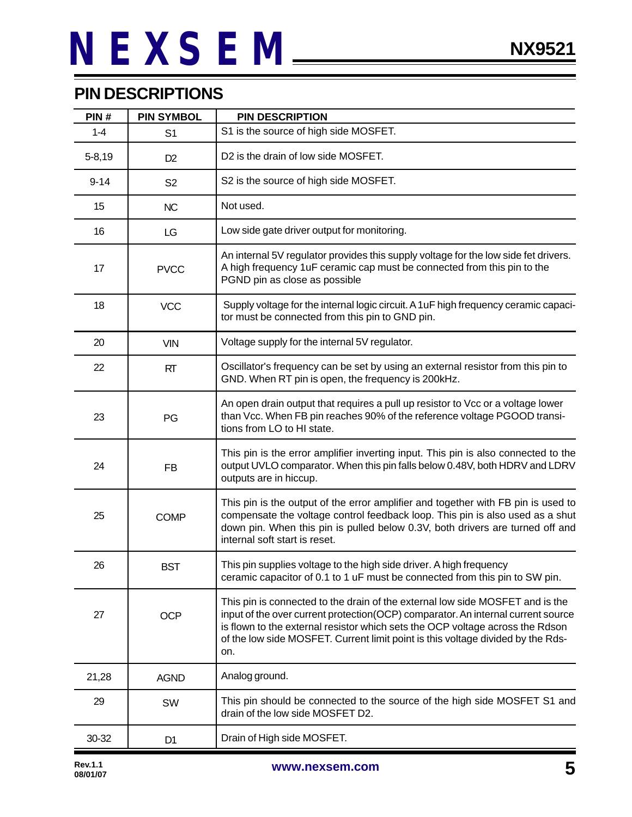### **PIN DESCRIPTIONS**

| PIN#       | <b>PIN SYMBOL</b> | <b>PIN DESCRIPTION</b>                                                                                                                                                                                                                                                                                                                       |  |
|------------|-------------------|----------------------------------------------------------------------------------------------------------------------------------------------------------------------------------------------------------------------------------------------------------------------------------------------------------------------------------------------|--|
| $1 - 4$    | S <sub>1</sub>    | S1 is the source of high side MOSFET.                                                                                                                                                                                                                                                                                                        |  |
| $5 - 8,19$ | D <sub>2</sub>    | D2 is the drain of low side MOSFET.                                                                                                                                                                                                                                                                                                          |  |
| $9 - 14$   | S <sub>2</sub>    | S2 is the source of high side MOSFET.                                                                                                                                                                                                                                                                                                        |  |
| 15         | <b>NC</b>         | Not used.                                                                                                                                                                                                                                                                                                                                    |  |
| 16         | LG                | Low side gate driver output for monitoring.                                                                                                                                                                                                                                                                                                  |  |
| 17         | <b>PVCC</b>       | An internal 5V regulator provides this supply voltage for the low side fet drivers.<br>A high frequency 1uF ceramic cap must be connected from this pin to the<br>PGND pin as close as possible                                                                                                                                              |  |
| 18         | <b>VCC</b>        | Supply voltage for the internal logic circuit. A 1uF high frequency ceramic capaci-<br>tor must be connected from this pin to GND pin.                                                                                                                                                                                                       |  |
| 20         | <b>VIN</b>        | Voltage supply for the internal 5V regulator.                                                                                                                                                                                                                                                                                                |  |
| 22         | RT                | Oscillator's frequency can be set by using an external resistor from this pin to<br>GND. When RT pin is open, the frequency is 200kHz.                                                                                                                                                                                                       |  |
| 23         | PG                | An open drain output that requires a pull up resistor to Vcc or a voltage lower<br>than Vcc. When FB pin reaches 90% of the reference voltage PGOOD transi-<br>tions from LO to HI state.                                                                                                                                                    |  |
| 24         | <b>FB</b>         | This pin is the error amplifier inverting input. This pin is also connected to the<br>output UVLO comparator. When this pin falls below 0.48V, both HDRV and LDRV<br>outputs are in hiccup.                                                                                                                                                  |  |
| 25         | <b>COMP</b>       | This pin is the output of the error amplifier and together with FB pin is used to<br>compensate the voltage control feedback loop. This pin is also used as a shut<br>down pin. When this pin is pulled below 0.3V, both drivers are turned off and<br>internal soft start is reset.                                                         |  |
| 26         | <b>BST</b>        | This pin supplies voltage to the high side driver. A high frequency<br>ceramic capacitor of 0.1 to 1 uF must be connected from this pin to SW pin.                                                                                                                                                                                           |  |
| 27         | <b>OCP</b>        | This pin is connected to the drain of the external low side MOSFET and is the<br>input of the over current protection(OCP) comparator. An internal current source<br>is flown to the external resistor which sets the OCP voltage across the Rdson<br>of the low side MOSFET. Current limit point is this voltage divided by the Rds-<br>on. |  |
| 21,28      | <b>AGND</b>       | Analog ground.                                                                                                                                                                                                                                                                                                                               |  |
| 29         | SW                | This pin should be connected to the source of the high side MOSFET S1 and<br>drain of the low side MOSFET D2.                                                                                                                                                                                                                                |  |
| 30-32      | D <sub>1</sub>    | Drain of High side MOSFET.                                                                                                                                                                                                                                                                                                                   |  |